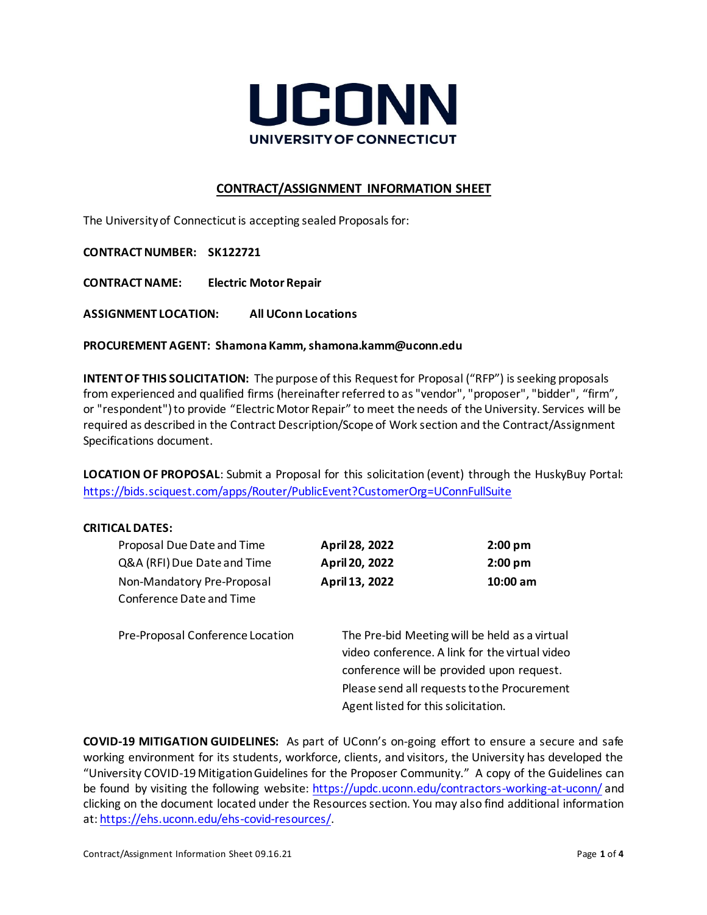

# **CONTRACT/ASSIGNMENT INFORMATION SHEET**

The University of Connecticut is accepting sealed Proposals for:

**CONTRACT NUMBER: SK122721**

**CONTRACT NAME: Electric Motor Repair** 

**ASSIGNMENT LOCATION: All UConn Locations**

**PROCUREMENT AGENT: Shamona Kamm, shamona.kamm@uconn.edu**

**INTENT OF THIS SOLICITATION:** The purpose of this Request for Proposal ("RFP") is seeking proposals from experienced and qualified firms (hereinafter referred to as "vendor", "proposer", "bidder", "firm", or "respondent") to provide "Electric Motor Repair" to meet the needs of the University. Services will be required as described in the Contract Description/Scope of Work section and the Contract/Assignment Specifications document.

**LOCATION OF PROPOSAL**: Submit a Proposal for this solicitation (event) through the HuskyBuy Portal: <https://bids.sciquest.com/apps/Router/PublicEvent?CustomerOrg=UConnFullSuite>

#### **CRITICAL DATES:**

| Proposal Due Date and Time       | April 28, 2022                                                                     | $2:00$ pm |
|----------------------------------|------------------------------------------------------------------------------------|-----------|
| Q&A (RFI) Due Date and Time      | April 20, 2022                                                                     | $2:00$ pm |
| Non-Mandatory Pre-Proposal       | April 13, 2022                                                                     | 10:00 am  |
| Conference Date and Time         |                                                                                    |           |
|                                  |                                                                                    |           |
| Pre-Proposal Conference Location | The Pre-bid Meeting will be held as a virtual                                      |           |
|                                  | video conference. A link for the virtual video                                     |           |
|                                  | conference will be provided upon request.                                          |           |
|                                  | Please send all requests to the Procurement<br>Agent listed for this solicitation. |           |
|                                  |                                                                                    |           |

**COVID-19 MITIGATION GUIDELINES:**As part of UConn's on-going effort to ensure a secure and safe working environment for its students, workforce, clients, and visitors, the University has developed the "University COVID-19 Mitigation Guidelines for the Proposer Community." A copy of the Guidelines can be found by visiting the following website:<https://updc.uconn.edu/contractors-working-at-uconn/> and clicking on the document located under the Resources section. You may also find additional information at[: https://ehs.uconn.edu/ehs-covid-resources/.](https://ehs.uconn.edu/ehs-covid-resources/)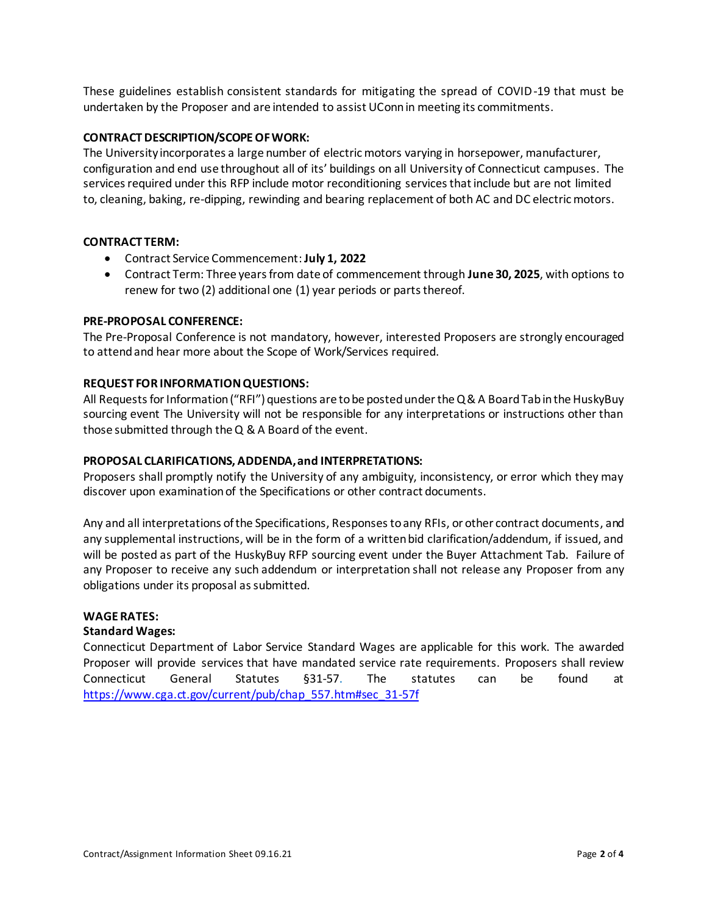These guidelines establish consistent standards for mitigating the spread of COVID-19 that must be undertaken by the Proposer and are intended to assist UConn in meeting its commitments.

# **CONTRACT DESCRIPTION/SCOPE OF WORK:**

The University incorporates a large number of electric motors varying in horsepower, manufacturer, configuration and end use throughout all of its' buildings on all University of Connecticut campuses. The services required under this RFP include motor reconditioning services that include but are not limited to, cleaning, baking, re-dipping, rewinding and bearing replacement of both AC and DC electric motors.

# **CONTRACT TERM:**

- Contract Service Commencement:**July 1, 2022**
- Contract Term: Three years from date of commencement through **June 30, 2025**, with options to renew for two (2) additional one (1) year periods or parts thereof.

# **PRE-PROPOSAL CONFERENCE:**

The Pre-Proposal Conference is not mandatory, however, interested Proposers are strongly encouraged to attend and hear more about the Scope of Work/Services required.

# **REQUEST FOR INFORMATION QUESTIONS:**

All Requests for Information ("RFI") questions are to be posted under the Q & A Board Tab in the HuskyBuy sourcing event The University will not be responsible for any interpretations or instructions other than those submitted through the Q & A Board of the event.

### **PROPOSAL CLARIFICATIONS, ADDENDA, and INTERPRETATIONS:**

Proposers shall promptly notify the University of any ambiguity, inconsistency, or error which they may discover upon examination of the Specifications or other contract documents.

Any and all interpretations of the Specifications, Responses to any RFIs, or other contract documents, and any supplemental instructions, will be in the form of a written bid clarification/addendum, if issued, and will be posted as part of the HuskyBuy RFP sourcing event under the Buyer Attachment Tab. Failure of any Proposer to receive any such addendum or interpretation shall not release any Proposer from any obligations under its proposal as submitted.

### **WAGE RATES:**

#### **Standard Wages:**

Connecticut Department of Labor Service Standard Wages are applicable for this work. The awarded Proposer will provide services that have mandated service rate requirements. Proposers shall review Connecticut General Statutes §31-57. The statutes can be found at [https://www.cga.ct.gov/current/pub/chap\\_557.htm#sec\\_31-57f](https://www.cga.ct.gov/current/pub/chap_557.htm#sec_31-57f)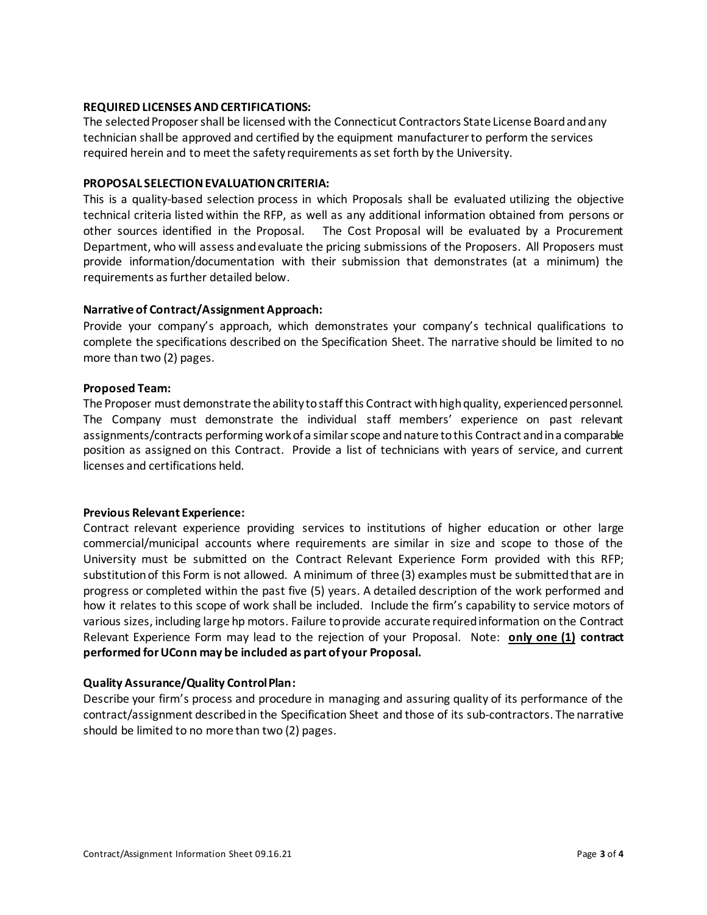### **REQUIRED LICENSES AND CERTIFICATIONS:**

The selected Proposer shall be licensed with the Connecticut Contractors State License Board and any technician shall be approved and certified by the equipment manufacturer to perform the services required herein and to meet the safety requirements as set forth by the University.

# **PROPOSAL SELECTION EVALUATION CRITERIA:**

This is a quality-based selection process in which Proposals shall be evaluated utilizing the objective technical criteria listed within the RFP, as well as any additional information obtained from persons or other sources identified in the Proposal. The Cost Proposal will be evaluated by a Procurement Department, who will assess and evaluate the pricing submissions of the Proposers. All Proposers must provide information/documentation with their submission that demonstrates (at a minimum) the requirements as further detailed below.

# **Narrative of Contract/Assignment Approach:**

Provide your company's approach, which demonstrates your company's technical qualifications to complete the specifications described on the Specification Sheet. The narrative should be limited to no more than two (2) pages.

# **Proposed Team:**

The Proposer must demonstrate the ability to staff this Contract with high quality, experienced personnel. The Company must demonstrate the individual staff members' experience on past relevant assignments/contracts performing work of a similar scope and nature to this Contract and in a comparable position as assigned on this Contract. Provide a list of technicians with years of service, and current licenses and certifications held.

#### **Previous Relevant Experience:**

Contract relevant experience providing services to institutions of higher education or other large commercial/municipal accounts where requirements are similar in size and scope to those of the University must be submitted on the Contract Relevant Experience Form provided with this RFP; substitution of this Form is not allowed. A minimum of three (3) examples must be submitted that are in progress or completed within the past five (5) years. A detailed description of the work performed and how it relates to this scope of work shall be included. Include the firm's capability to service motors of various sizes, including large hp motors. Failure to provide accurate required information on the Contract Relevant Experience Form may lead to the rejection of your Proposal. Note: **only one (1) contract performed for UConn may be included as part of your Proposal.** 

#### **Quality Assurance/Quality Control Plan:**

Describe your firm's process and procedure in managing and assuring quality of its performance of the contract/assignment described in the Specification Sheet and those of its sub-contractors. The narrative should be limited to no more than two (2) pages.